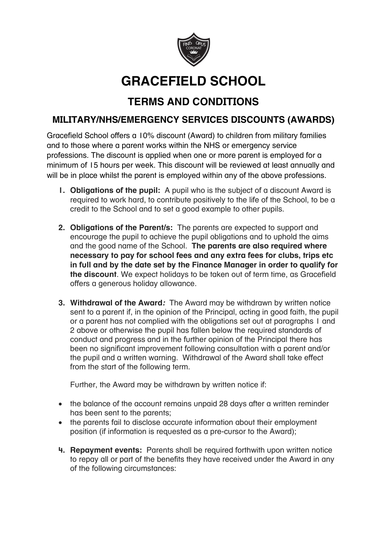

## **GRACEFIELD SCHOOL**

## **TERMS AND CONDITIONS**

## **MILITARY/NHS/EMERGENCY SERVICES DISCOUNTS (AWARDS)**

Gracefield School offers a 10% discount (Award) to children from military families and to those where a parent works within the NHS or emergency service professions. The discount is applied when one or more parent is employed for a minimum of 15 hours per week. This discount will be reviewed at least annually and will be in place whilst the parent is employed within any of the above professions.

- **1. Obligations of the pupil:**A pupil who is the subject of a discount Award is required to work hard, to contribute positively to the life of the School, to be a credit to the School and to set a good example to other pupils.
- **2. Obligations of the Parent/s:** The parents are expected to support and encourage the pupil to achieve the pupil obligations and to uphold the aims and the good name of the School. **The parents are also required where necessary to pay for school fees and any extra fees for clubs, trips etc in full and by the date set by the Finance Manager in order to qualify for the discount**. We expect holidays to be taken out of term time, as Gracefield offers a generous holiday allowance.
- **3. Withdrawal of the Award***:* The Award may be withdrawn by written notice sent to a parent if, in the opinion of the Principal, acting in good faith, the pupil or a parent has not complied with the obligations set out at paragraphs 1 and 2 above or otherwise the pupil has fallen below the required standards of conduct and progress and in the further opinion of the Principal there has been no significant improvement following consultation with a parent and/or the pupil and a written warning. Withdrawal of the Award shall take effect from the start of the following term.

Further, the Award may be withdrawn by written notice if:

- the balance of the account remains unpaid 28 days after a written reminder has been sent to the parents;
- the parents fail to disclose accurate information about their employment position (if information is requested as a pre-cursor to the Award);
- **4. Repayment events:**Parents shall be required forthwith upon written notice to repay all or part of the benefits they have received under the Award in any of the following circumstances: